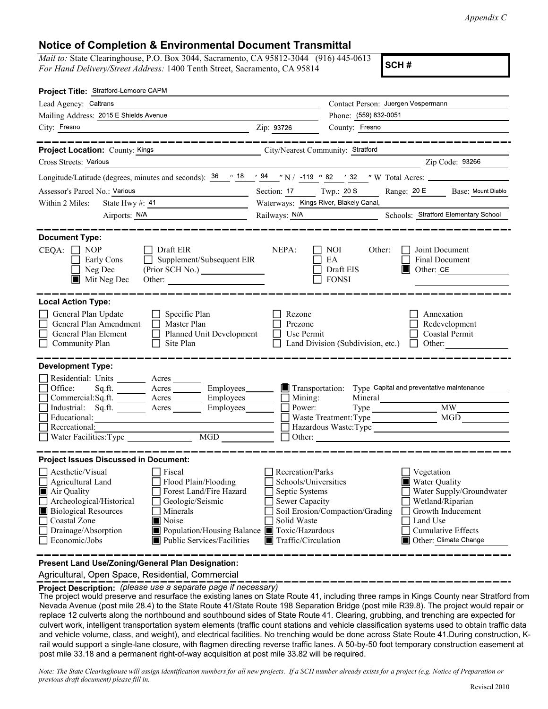| <b>Notice of Completion &amp; Environmental Document Transmittal</b><br><i>Mail to:</i> State Clearinghouse, P.O. Box 3044, Sacramento, CA 95812-3044 (916) 445-0613                                                                                                                                                                                                                                                                    | Appendix C                                                                                                                                                                                                                                                                                                                                                                                                                                                                                                                                                                                                                                                                                                                                                                                                                                                                                                  |
|-----------------------------------------------------------------------------------------------------------------------------------------------------------------------------------------------------------------------------------------------------------------------------------------------------------------------------------------------------------------------------------------------------------------------------------------|-------------------------------------------------------------------------------------------------------------------------------------------------------------------------------------------------------------------------------------------------------------------------------------------------------------------------------------------------------------------------------------------------------------------------------------------------------------------------------------------------------------------------------------------------------------------------------------------------------------------------------------------------------------------------------------------------------------------------------------------------------------------------------------------------------------------------------------------------------------------------------------------------------------|
| For Hand Delivery/Street Address: 1400 Tenth Street, Sacramento, CA 95814                                                                                                                                                                                                                                                                                                                                                               | SCH#                                                                                                                                                                                                                                                                                                                                                                                                                                                                                                                                                                                                                                                                                                                                                                                                                                                                                                        |
| Project Title: Stratford-Lemoore CAPM                                                                                                                                                                                                                                                                                                                                                                                                   |                                                                                                                                                                                                                                                                                                                                                                                                                                                                                                                                                                                                                                                                                                                                                                                                                                                                                                             |
| Lead Agency: Caltrans<br>Mailing Address: 2015 E Shields Avenue                                                                                                                                                                                                                                                                                                                                                                         | Contact Person: Juergen Vespermann<br>Phone: (559) 832-0051                                                                                                                                                                                                                                                                                                                                                                                                                                                                                                                                                                                                                                                                                                                                                                                                                                                 |
| City: Fresno                                                                                                                                                                                                                                                                                                                                                                                                                            | County: Fresno<br>Zip: 93726                                                                                                                                                                                                                                                                                                                                                                                                                                                                                                                                                                                                                                                                                                                                                                                                                                                                                |
| -------------                                                                                                                                                                                                                                                                                                                                                                                                                           |                                                                                                                                                                                                                                                                                                                                                                                                                                                                                                                                                                                                                                                                                                                                                                                                                                                                                                             |
| <b>Project Location:</b> County: Kings<br>Cross Streets: Various                                                                                                                                                                                                                                                                                                                                                                        | City/Nearest Community: Stratford<br>Zip Code: 93266                                                                                                                                                                                                                                                                                                                                                                                                                                                                                                                                                                                                                                                                                                                                                                                                                                                        |
|                                                                                                                                                                                                                                                                                                                                                                                                                                         | Longitude/Latitude (degrees, minutes and seconds): $36 \degree$ $18 \degree$ $94 \degree$ N / -119 $\degree$ 82 $\degree$ / 32 $\degree$ W Total Acres:                                                                                                                                                                                                                                                                                                                                                                                                                                                                                                                                                                                                                                                                                                                                                     |
| Assessor's Parcel No.: Various                                                                                                                                                                                                                                                                                                                                                                                                          | Twp.: 20 S<br>Range: 20 E<br>Section: 17<br>Base: Mount Diablo<br>Waterways: Kings River, Blakely Canal,                                                                                                                                                                                                                                                                                                                                                                                                                                                                                                                                                                                                                                                                                                                                                                                                    |
| Within 2 Miles: State Hwy #: $41$<br>Airports: N/A                                                                                                                                                                                                                                                                                                                                                                                      | Schools: Stratford Elementary School<br>Railways: N/A                                                                                                                                                                                                                                                                                                                                                                                                                                                                                                                                                                                                                                                                                                                                                                                                                                                       |
| <b>Document Type:</b>                                                                                                                                                                                                                                                                                                                                                                                                                   |                                                                                                                                                                                                                                                                                                                                                                                                                                                                                                                                                                                                                                                                                                                                                                                                                                                                                                             |
| Draft EIR<br>$CEQA: \Box NP$<br>$\Box$ Supplement/Subsequent EIR<br>Early Cons<br>Neg Dec<br>$\blacksquare$ Mit Neg Dec<br>Other:                                                                                                                                                                                                                                                                                                       | NEPA:<br><b>NOI</b><br>Other:<br>Joint Document<br>EA<br><b>Final Document</b><br>$\Box$ Other: CE<br>Draft EIS<br><b>FONSI</b>                                                                                                                                                                                                                                                                                                                                                                                                                                                                                                                                                                                                                                                                                                                                                                             |
| <b>Local Action Type:</b><br>General Plan Update<br>$\Box$ Specific Plan<br>Master Plan<br>General Plan Amendment<br>$\Box$<br>General Plan Element<br>Planned Unit Development<br>$\Box$<br>Community Plan<br>Site Plan                                                                                                                                                                                                                | Rezone<br>Annexation<br>Prezone<br>Redevelopment<br>Use Permit<br>Coastal Permit<br>$\mathcal{L}^{\mathcal{A}}$<br>Land Division (Subdivision, etc.)<br>Other:<br>$\Box$                                                                                                                                                                                                                                                                                                                                                                                                                                                                                                                                                                                                                                                                                                                                    |
| <b>Development Type:</b><br>Residential: Units _______ Acres<br>Employees_<br>Office:<br>Sq <sub>1</sub> ft.<br>Acres<br>Employees_<br>Commercial:Sq.fit.<br>Acres<br>Industrial: Sq.ft.<br>Employees<br>Acres<br>Educational:<br><u> 1980 - Johann Barn, mars ann an t-Amhain Aonaich ann an t-Aonaich ann an t-Aonaich ann an t-Aonaich ann an t-</u><br>Recreational:<br>Water Facilities: Type                                      | Transportation:<br>Type Capital and preventative maintenance<br>$\Box$ Mining:<br>Mineral<br>Power:<br>MGD<br>Hazardous Waste:Type                                                                                                                                                                                                                                                                                                                                                                                                                                                                                                                                                                                                                                                                                                                                                                          |
| MGD                                                                                                                                                                                                                                                                                                                                                                                                                                     |                                                                                                                                                                                                                                                                                                                                                                                                                                                                                                                                                                                                                                                                                                                                                                                                                                                                                                             |
| <b>Project Issues Discussed in Document:</b><br>$\Box$ Aesthetic/Visual<br>$\Box$ Fiscal<br>Agricultural Land<br>Flood Plain/Flooding<br>Air Quality<br>Forest Land/Fire Hazard<br>Archeological/Historical<br>Geologic/Seismic<br><b>Biological Resources</b><br>$\Box$ Minerals<br>Coastal Zone<br>Noise<br>□ Drainage/Absorption<br>Population/Housing Balance Toxic/Hazardous<br>$\Box$ Economic/Jobs<br>Public Services/Facilities | Recreation/Parks<br>Vegetation<br>Schools/Universities<br><b>Water Quality</b><br>Septic Systems<br>Water Supply/Groundwater<br>Sewer Capacity<br>Wetland/Riparian<br>Soil Erosion/Compaction/Grading<br>Growth Inducement<br>Solid Waste<br>Land Use<br>$\Box$ Cumulative Effects<br>Other: Climate Change<br>$\blacksquare$ Traffic/Circulation                                                                                                                                                                                                                                                                                                                                                                                                                                                                                                                                                           |
| Present Land Use/Zoning/General Plan Designation:<br>Agricultural, Open Space, Residential, Commercial                                                                                                                                                                                                                                                                                                                                  |                                                                                                                                                                                                                                                                                                                                                                                                                                                                                                                                                                                                                                                                                                                                                                                                                                                                                                             |
| Project Description: (please use a separate page if necessary)<br>post mile 33.18 and a permanent right-of-way acquisition at post mile 33.82 will be required.                                                                                                                                                                                                                                                                         | ______________________________<br>The project would preserve and resurface the existing lanes on State Route 41, including three ramps in Kings County near Stratford from<br>Nevada Avenue (post mile 28.4) to the State Route 41/State Route 198 Separation Bridge (post mile R39.8). The project would repair or<br>replace 12 culverts along the northbound and southbound sides of State Route 41. Clearing, grubbing, and trenching are expected for<br>culvert work, intelligent transportation system elements (traffic count stations and vehicle classification systems used to obtain traffic data<br>and vehicle volume, class, and weight), and electrical facilities. No trenching would be done across State Route 41. During construction, K-<br>rail would support a single-lane closure, with flagmen directing reverse traffic lanes. A 50-by-50 foot temporary construction easement at |
| previous draft document) please fill in.                                                                                                                                                                                                                                                                                                                                                                                                | Note: The State Clearinghouse will assign identification numbers for all new projects. If a SCH number already exists for a project (e.g. Notice of Preparation or<br>Revised 2010                                                                                                                                                                                                                                                                                                                                                                                                                                                                                                                                                                                                                                                                                                                          |